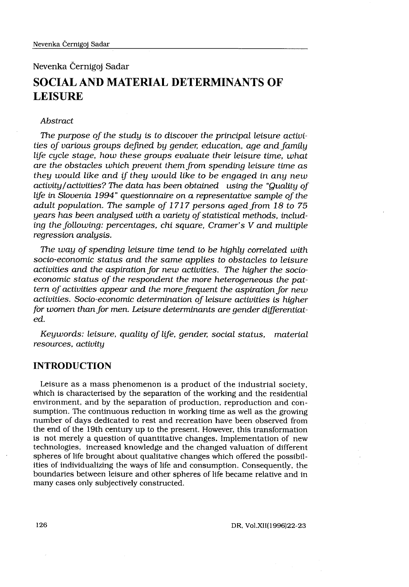Nevenka Cernigoj Sadar

# SOCIAL AND MATERIAL DETERMINANTS OF LEISURE

## Abstract

The purpose of the study is to discover the principal leisure activities of various groups defined by gender, education, age and family life cycle stage, how these groups evaluate their leisure time, what are the obstacles which prevent them from spending leisure time as they would like and if they would like to be engaged in any new activity/activities? The data has been obtained using the "Quality of life in Slovenia 1994" questionnaire on a representative sample of the adult population. The sample of 1717 persons aged from 18 to 75 years has been analysed with a variety of statistical methods, including the following: percentages, chi square, Cramer's V and multiple regression analysis.

The way of spending leisure time tend to be highly correlated with socio-economic status and the same applies to obstacles to leisure activities and the aspiration for new activities. The higher the socioeconomic status of the respondent the more heterogeneous the pattern of activities appear and the more frequent the aspiration for new activities. Socio-economic determination of leisure activities is higher for women than for men. Leisure determinants are gender differentiated.

Keywords: leisure, quality of life, gender, social status, material resources, activity

# INTRODUCTION

Leisure as a mass phenomenon is a product of the industrial society, which is characterised by the separation of the working and the residential environment, and by the separation of production, reproduction and consumption. The continuous reduction in working time as well as the growing number of days dedicated to rest and recreation have been observed from the end of the 19th century up to the present. However, this transformation is not merely a question of quantitative changes. Implementation of new technologies, increased knowledge and the changed valuation of different spheres of life brought about qualitative changes which offered the possibilities of individualizing the ways of life and consumption . Consequently, the boundaries between leisure and other spheres of life became relative and in many cases only subjectively constructed.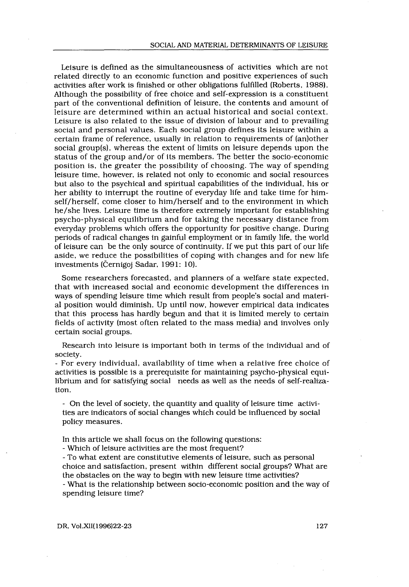Leisure is defined as the simultaneousness of activities which are not related directly to an economic function and positive experiences of such activities after work is finished or other obligations fulfilled (Roberts, 1988) . Although the possibility of free choice and self-expression is a constituent part of the conventional definition of leisure, the contents and amount of leisure are determined within an actual historical and social context. Leisure is also related to the issue of division of labour and to prevailing social and personal values. Each social group defines its leisure within a certain frame of reference, usually in relation to requirements of (an)other social group(s), whereas the extent of limits on leisure depends upon the status of the group and/or of its members . The better the socio-economic position is, the greater the possibility of choosing. The way of spending leisure time, however, is related not only to economic and social resources but also to the psychical and spiritual capabilities of the individual, his or her ability to interrupt the routine of everyday life and take time for himself/herself, come closer to him/herself and to the environment in which he/she lives . Leisure time is therefore extremely important for establishing psycho-physical equilibrium and for taking the necessary distance from everyday problems which offers the opportunity for positive change . During periods of radical changes in gainful employment or in family life, the world of leisure can be the only source of continuity . If we put this part of our life aside, we reduce the possibilities of coping with changes and for new life investments (Černigoj Sadar, 1991: 10).

Some researchers forecasted, and planners of a welfare state expected, that with increased social and economic development the differences in ways of spending leisure time which result from people's social and material position would diminish. Up until now, however empirical data indicates that this process has hardly begun and that it is limited merely to certain fields of activity (most often related to the mass media) and involves only certain social groups.

Research into leisure is important both in terms of the individual and of society .

- For every individual, availability of time when a relative free choice of activities is possible is a prerequisite for maintaining psycho-physical equilibrium and for satisfying social needs as well as the needs of self-realization.

- On the level of society, the quantity and quality of leisure time activities are indicators of social changes which could be influenced by social policy measures.

In this article we shall focus on the following questions:

- Which of leisure activities are the most frequent?

- To what extent are constitutive elements of leisure, such as personal choice and satisfaction, present within different social groups? What are the obstacles on the way to begin with new leisure time activities?

- What is the relationship between socio-economic position and the way of spending leisure time?

DR, Vol.XII(1996)22-23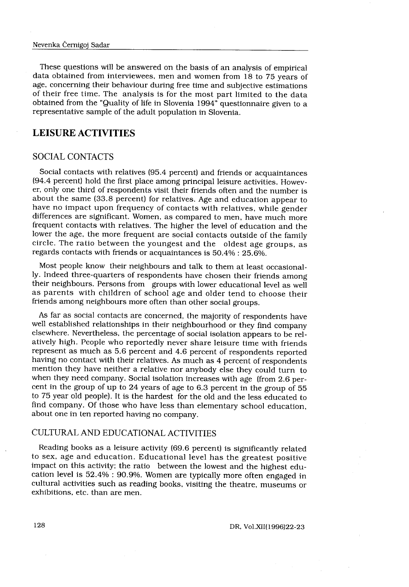These questions will be answered on the basis of an analysis of empirical data obtained from interviewees, men and women from 18 to 75 years of age, concerning their behaviour during free time and subjective estimations of their free time. The analysis is for the most part limited to the data obtained from the "Quality of life in Slovenia 1994" questionnaire given to a representative sample of the adult population in Slovenia .

# LEISURE ACTIVITIES

## SOCIAL CONTACTS

Social contacts with relatives (95 .4 percent) and friends or acquaintances (94.4 percent) hold the first place among principal leisure activities. However, only one third of respondents visit their friends often and the number is about the same (33.8 percent) for relatives. Age and education appear to have no impact upon frequency of contacts with relatives, while gender differences are significant. Women, as compared to men, have much more frequent contacts with relatives . The higher the level of education and the lower the age, the more frequent are social contacts outside of the family circle . The ratio between the youngest and the oldest age groups, as regards contacts with friends or acquaintances is 50 .4% : 25.6%.

Most people know their neighbours and talk to them at least occasionally. Indeed three-quarters of respondents have chosen their friends among their neighbours. Persons from groups with lower educational level as well as parents with children of school age and older tend to choose their friends among neighbours more often than other social groups .

As far as social contacts are concerned, the majority of respondents have well established relationships in their neighbourhood or they find company elsewhere. Nevertheless, the percentage of social isolation appears to be relatively high. People who reportedly never share leisure time with friends represent as much as 5 .6 percent and 4 .6 percent of respondents reported having no contact with their relatives . As much as 4 percent of respondents mention they have neither a relative nor anybody else they could turn to when they need company. Social isolation increases with age (from 2.6 percent in the group of up to 24 years of age to 6 .3 percent in the group of 55 to 75 year old people) . It is the hardest for the old and the less educated to find company. Of those who have less than elementary school education, about one in ten reported having no company.

# CULTURAL AND EDUCATIONAL ACTIVITIES

Reading books as a leisure activity (69 .6 percent) is significantly related to sex, age and education. Educational level has the greatest positive impact on this activity; the ratio between the lowest and the highest education level is 52 .4% : 90 .9%. Women are typically more often engaged in cultural activities such as reading books, visiting the theatre, museums or exhibitions, etc. than are men.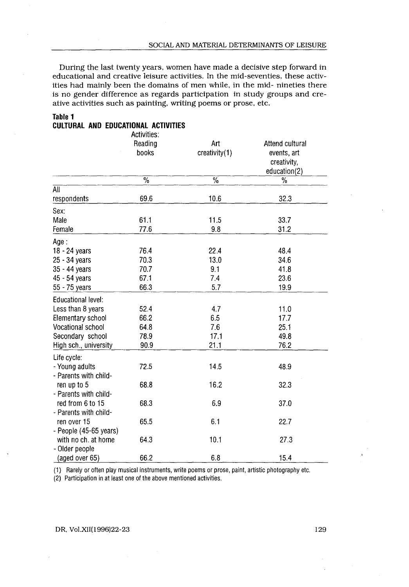#### Table 1

 

### CULTURAL AND EDUCATIONAL ACTIVITIES

|                                                               |                  | SOCIAL AND MATERIAL DETERMINANTS OF LEISURE                                                                                                                                                                                                                                                                                                                                               |                                                               |
|---------------------------------------------------------------|------------------|-------------------------------------------------------------------------------------------------------------------------------------------------------------------------------------------------------------------------------------------------------------------------------------------------------------------------------------------------------------------------------------------|---------------------------------------------------------------|
|                                                               |                  |                                                                                                                                                                                                                                                                                                                                                                                           |                                                               |
| Table 1                                                       |                  | During the last twenty years, women have made a decisive step forward in<br>educational and creative leisure activities. In the mid-seventies, these activ-<br>ities had mainly been the domains of men while, in the mid- nineties there<br>is no gender difference as regards participation in study groups and cre-<br>ative activities such as painting, writing poems or prose, etc. |                                                               |
| <b>CULTURAL AND EDUCATIONAL ACTIVITIES</b>                    | Activities:      |                                                                                                                                                                                                                                                                                                                                                                                           |                                                               |
|                                                               | Reading<br>books | Art<br>creativity(1)                                                                                                                                                                                                                                                                                                                                                                      | Attend cultural<br>events, art<br>creativity,<br>education(2) |
|                                                               | $\overline{\%}$  | $\frac{9}{6}$                                                                                                                                                                                                                                                                                                                                                                             | $\%$                                                          |
| All                                                           |                  |                                                                                                                                                                                                                                                                                                                                                                                           |                                                               |
| respondents                                                   | 69.6             | 10.6                                                                                                                                                                                                                                                                                                                                                                                      | 32.3                                                          |
| Sex:<br>Male                                                  |                  |                                                                                                                                                                                                                                                                                                                                                                                           |                                                               |
| Female                                                        | 61.1<br>77.6     | 11.5<br>9.8                                                                                                                                                                                                                                                                                                                                                                               | 33.7<br>31.2                                                  |
| Age :                                                         |                  |                                                                                                                                                                                                                                                                                                                                                                                           |                                                               |
| 18 - 24 years                                                 | 76.4             | 22.4                                                                                                                                                                                                                                                                                                                                                                                      | 48.4                                                          |
| 25 - 34 years                                                 | 70.3             | 13.0                                                                                                                                                                                                                                                                                                                                                                                      | 34.6                                                          |
| 35 - 44 years                                                 | 70.7             | 9.1                                                                                                                                                                                                                                                                                                                                                                                       | 41.8                                                          |
| 45 - 54 years                                                 | 67.1             | 7.4                                                                                                                                                                                                                                                                                                                                                                                       | 23.6                                                          |
| 55 - 75 years                                                 | 66.3             | 5.7                                                                                                                                                                                                                                                                                                                                                                                       | 19.9                                                          |
| Educational level:                                            |                  |                                                                                                                                                                                                                                                                                                                                                                                           |                                                               |
| Less than 8 years<br>Elementary school                        | 52.4<br>66.2     | 4.7<br>6.5                                                                                                                                                                                                                                                                                                                                                                                | 11.0<br>17.7                                                  |
| Vocational school                                             | 64.8             | 7.6                                                                                                                                                                                                                                                                                                                                                                                       | 25.1                                                          |
| Secondary school                                              | 78.9             | 17.1                                                                                                                                                                                                                                                                                                                                                                                      | 49.8                                                          |
| High sch., university                                         | 90.9             | 21.1                                                                                                                                                                                                                                                                                                                                                                                      | 76.2                                                          |
| Life cycle:<br>- Young adults                                 | 72.5             | 14.5                                                                                                                                                                                                                                                                                                                                                                                      | 48.9                                                          |
| - Parents with child-<br>ren up to 5<br>- Parents with child- | 68.8             | 16.2                                                                                                                                                                                                                                                                                                                                                                                      | 32.3                                                          |
| red from 6 to 15<br>- Parents with child-                     | 68.3             | 6.9                                                                                                                                                                                                                                                                                                                                                                                       | 37.0                                                          |
| ren over 15<br>- People (45-65 years)                         | 65.5             | 6.1                                                                                                                                                                                                                                                                                                                                                                                       | 22.7                                                          |
| with no ch. at home                                           | 64.3             | 10.1                                                                                                                                                                                                                                                                                                                                                                                      | 27.3                                                          |

#### DR, Vol.XII(1996)22-23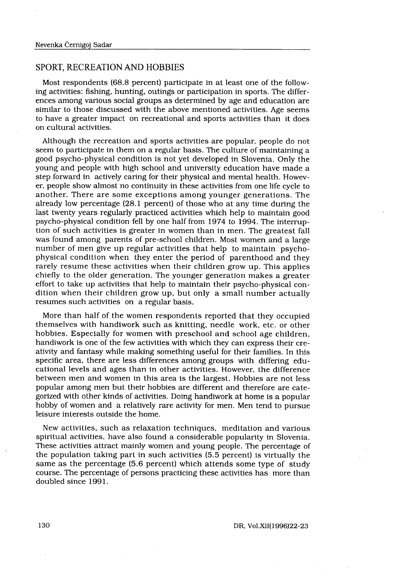$\label{eq:2} \begin{split} \mathcal{L}_{\text{max}}(\mathcal{L}_{\text{max}}) = \mathcal{L}_{\text{max}}(\mathcal{L}_{\text{max}}) \end{split}$ 

### SPORT, RECREATION AND HOBBIES

Černigoj Sadar<br>RECREATION AND HOBBIES<br>respondents (68.8 percent) participate in<br>ities: fishing, hunting, outings or participa<br>mong various social groups as determined<br>to those discussed with the above mentic Most respondents (68 .8 percent) participate in at least one of the following activities: fishing, hunting, outings or participation in sports. The differences among various social groups as determined by age and education are similar to those discussed with the above mentioned activities . Age seems to have a greater impact on recreational and sports activities than it does on cultural activities .

Although the recreation and sports activities are popular, people do not seem to participate in them on a regular basis. The culture of maintaining a good psycho-physical condition is not yet developed in Slovenia . Only the young and people with high school and university education have made a step forward in actively caring for their physical and mental health. However, people show almost no continuity in these activities from one life cycle to another. There are some exceptions among younger generations. The already low percentage (28.1 percent) of those who at any time during the last twenty years regularly practiced activities which help to maintain good psycho-physical condition fell by one half from 1974 to 1994 . The interruption of such activities is greater in women than in men. The greatest fall was found among parents of pre-school children . Most women and a large number of men give up regular activities that help to maintain psychophysical condition when they enter the period of parenthood and they rarely resume these activities when their children grow up. This applies chiefly to the older generation. The younger generation makes a greater effort to take up activities that help to maintain their psycho-physical condition when their children grow up, but only a small number actually resumes such activities on a regular basis.

More than half of the women respondents reported that they occupied themselves with handiwork such as knitting, needle work, etc. or other hobbies. Especially for women with preschool and school age children, handiwork is one of the few activities with which they can express their creativity and fantasy while making something useful for their families. In this specific area, there are less differences among groups with differing educational levels and ages than in other activities . However, the difference between men and women in this area is the largest . Hobbies are not less popular among men but their hobbies are different and therefore are categorized with other kinds of activities . Doing handiwork at home is a popular hobby of women and a relatively rare activity for men . Men tend to pursue leisure interests outside the home.

New activities, such as relaxation techniques, meditation and various spiritual activities, have also found a considerable popularity in Slovenia . These activities attract mainly women and young people . The percentage of the population taking part in such activities (5 .5 percent) is virtually the same as the percentage (5.6 percent) which attends some type of study course. The percentage of persons practicing these activities has more than doubled since 1991.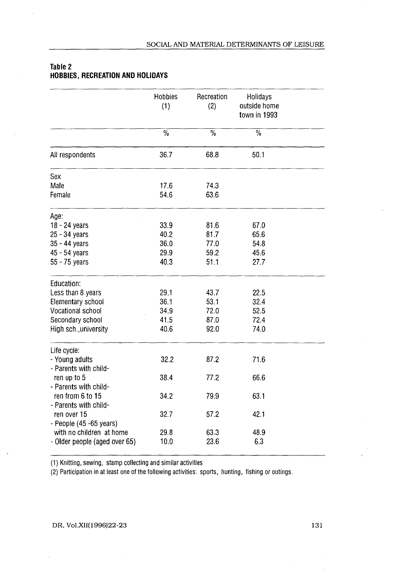|                               | Hobbies<br>(1)  | Recreation<br>(2) | Holidays<br>outside home<br>town in 1993 |  |
|-------------------------------|-----------------|-------------------|------------------------------------------|--|
|                               | $\overline{\%}$ | $\overline{\%}$   | $\overline{\%}$                          |  |
| All respondents               | 36.7            | 68.8              | 50.1                                     |  |
| Sex                           |                 |                   |                                          |  |
| Male                          | 17.6            | 74.3              |                                          |  |
| Female                        | 54.6            | 63.6              |                                          |  |
| Age:                          |                 |                   |                                          |  |
| 18 - 24 years                 | 33.9            | 81.6              | 67.0                                     |  |
| 25 - 34 years                 | 40.2            | 81.7              | 65.6                                     |  |
| 35 - 44 years                 | 36.0            | 77.0              | 54.8                                     |  |
| 45 - 54 years                 | 29.9            | 59.2              | 45.6                                     |  |
| 55 - 75 years                 | 40.3            | 51.1              | 27.7                                     |  |
| Education:                    |                 |                   |                                          |  |
| Less than 8 years             | 29.1            | 43.7              | 22.5                                     |  |
| Elementary school             | 36.1            | 53.1              | 32.4                                     |  |
| Vocational school             | 34.9            | 72.0              | 52.5                                     |  |
| Secondary school              | 41.5            | 87.0              | 72.4                                     |  |
| High sch., university         | 40.6            | 92.0              | 74.0                                     |  |
| Life cycle:                   |                 |                   |                                          |  |
| - Young adults                | 32.2            | 87.2              | 71.6                                     |  |
| - Parents with child-         |                 |                   |                                          |  |
| ren up to 5                   | 38.4            | 77.2              | 66.6                                     |  |
| - Parents with child-         |                 |                   |                                          |  |
| ren from 6 to 15              | 34.2            | 79.9              | 63.1                                     |  |
| - Parents with child-         |                 |                   |                                          |  |
| ren over 15                   | 32.7            | 57.2              | 42.1                                     |  |
| - People (45 -65 years)       |                 |                   |                                          |  |
| with no children at home      | 29.8            | 63.3              | 48.9                                     |  |
| - Older people (aged over 65) | 10.0            | 23.6              | 6.3                                      |  |

## Table 2 HOBBIES, RECREATION AND HOLIDAYS

 

(1) Knitting, sewing, stamp collecting and similar activities

(2) Participation in at least one of the following activities: sports, hunting, fishing or outings.

### DR, Vol .XII(1996)22-23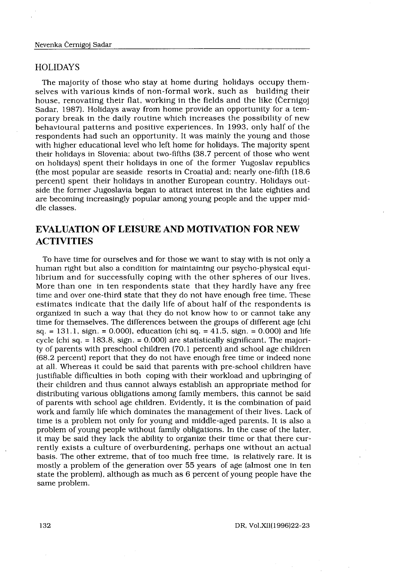#### HOLIDAYS

 

The majority of those who stay at home during holidays occupy themselves with various kinds of non-formal work, such as building their house, renovating their flat, working in the fields and the like (Cernigoj Sadar, 1987). Holidays away from home provide an opportunity for a temporary break in the daily routine which increases the possibility of new behavioural patterns and positive experiences . In 1993, only half of the respondents had such an opportunity. It was mainly the young and those with higher educational level who left home for holidays . The majority spent their holidays in Slovenia; about two-fifths (38.7 percent of those who went on holidays) spent their holidays in one of the former Yugoslav republics (the most popular are seaside resorts in Croatia) and; nearly one-fifth (18.6) percent) spent their holidays in another European country. Holidays outside the former Jugoslavia began to attract interest in the late eighties and are becoming increasingly popular among young people and the upper middle classes .

# EVALUATION OF LEISURE AND MOTIVATION FOR NEW **ACTIVITIES**

To have time for ourselves and for those we want to stay with is not only a human right but also a condition for maintaining our psycho-physical equilibrium and for successfully coping with the other spheres of our lives . More than one in ten respondents state that they hardly have any free time and over one-third state that they do not have enough free time. These estimates indicate that the daily life of about half of the respondents is organized in such a way that they do not know how to or cannot take any time for themselves. The differences between the groups of different age (chi sq. = 131.1, sign. = 0.000), education (chi sq. =  $41.5$ , sign. = 0.000) and life cycle (chi sq.  $= 183.8$ , sign.  $= 0.000$ ) are statistically significant. The majority of parents with preschool children (70 .1 percent) and school age children (68 .2 percent) report that they do not have enough free time or indeed none at all. Whereas it could be said that parents with pre-school children have justifiable difficulties in both coping with their workload and upbringing of their children and thus cannot always establish an appropriate method for distributing various obligations among family members, this cannot be said of parents with school age children. Evidently, it is the combination of paid work and family life which dominates the management of their lives . Lack of time is a problem not only for young and middle-aged parents . It is also a problem of young people without family obligations . In the case of the later, it may be said they lack the ability to organize their time or that there currently exists a culture of overburdening, perhaps one without an actual basis . The other extreme, that of too much free time, is relatively rare . It is mostly a problem of the generation over 55 years of age (almost one in ten state the problem), although as much as 6 percent of young people have the same problem.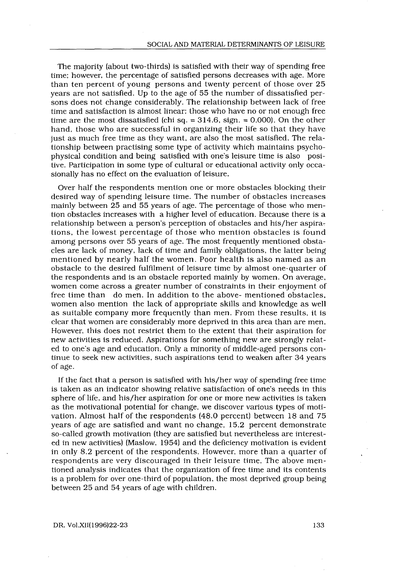The majority (about two-thirds) is satisfied with their way of spending free time; however, the percentage of satisfied persons decreases with age. More than ten percent of young persons and twenty percent of those over 25 years are not satisfied. Up to the age of 55 the number of dissatisfied persons does not change considerably . The relationship between lack of free time and satisfaction is almost linear: those who have no or not enough free time are the most dissatisfied (chi sq.  $= 314.6$ , sign.  $= 0.000$ ). On the other hand, those who are successful in organizing their life so that they have just as much free time as they want, are also the most satisfied. The relationship between practising some type of activity which maintains psychophysical condition and being satisfied with one's leisure time is also positive. Participation in some type of cultural or educational activity only occasionally has no effect on the evaluation of leisure.

Over half the respondents mention one or more obstacles blocking their desired way of spending leisure time. The number of obstacles increases mainly between 25 and 55 years of age . The percentage of those who mention obstacles increases with a higher level of education . Because there is a relationship between a person's perception of obstacles and his/her aspirations, the lowest percentage of those who mention obstacles is found among persons over 55 years of age . The most frequently mentioned obstacles are lack of money, lack of time and family obligations, the latter being mentioned by nearly half the women. Poor health is also named as an obstacle to the desired fulfilment of leisure time by almost one-quarter of the respondents and is an obstacle reported mainly by women . On average, women come across a greater number of constraints in their enjoyment of free time than do men. In addition to the above- mentioned obstacles, women also mention the lack of appropriate skills and knowledge as well as suitable company more frequently than men. From these results, it is clear that women are considerably more deprived in this area than are men. However, this does not restrict them to the extent that their aspiration for new activities is reduced. Aspirations for something new are strongly related to one's age and education . Only a minority of middle-aged persons continue to seek new activities, such aspirations tend to weaken after 34 years of age .

If the fact that a person is satisfied with his/her way of spending free time is taken as an indicator showing relative satisfaction of one's needs in this sphere of life, and his/her aspiration for one or more new activities is taken as the motivational potential for change, we discover various types of motivation. Almost half of the respondents (48.0 percent) between 18 and 75 years of age are satisfied and want no change, 15 .2 percent demonstrate so-called growth motivation (they are satisfied but nevertheless are interested in new activities) (Maslow, 1954) and the deficiency motivation is evident in only 8.2 percent of the respondents. However, more than a quarter of respondents are very discouraged in their leisure time . The above mentioned analysis indicates that the organization of free time and its contents is a problem for over one-third of population, the most deprived group being between 25 and 54 years of age with children.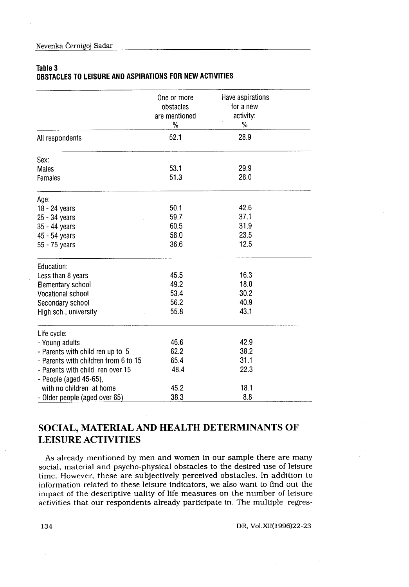#### Table 3

# OBSTACLES TO LEISURE AND ASPIRATIONS FOR NEW ACTIVITIES

| Table 3                                                    |                                           |                                            |
|------------------------------------------------------------|-------------------------------------------|--------------------------------------------|
| OBSTACLES TO LEISURE AND ASPIRATIONS FOR NEW ACTIVITIES    | One or more<br>obstacles<br>are mentioned | Have aspirations<br>for a new<br>activity: |
| All respondents                                            | %<br>52.1                                 | %<br>28.9                                  |
|                                                            |                                           |                                            |
| Sex:                                                       |                                           |                                            |
| <b>Males</b><br>Females                                    | 53.1<br>513                               | 29.9<br>28.0                               |
| Age:                                                       |                                           |                                            |
| 18 - 24 years                                              | 50.1                                      | 42.6                                       |
| 25 - 34 years                                              | 59.7                                      | 37.1                                       |
| 35 - 44 years                                              | 60.5<br>58.0                              | 31.9<br>23.5                               |
| 45 - 54 years<br>55 - 75 years                             | 36.6                                      | 12.5                                       |
| Education:                                                 |                                           |                                            |
| Less than 8 years                                          | 45.5                                      | 16.3                                       |
| Elementary school                                          | 49.2                                      | 18.0                                       |
| Vocational school                                          | 53.4                                      | 30.2                                       |
| Secondary school                                           | 56.2                                      | 40.9                                       |
| High sch., university                                      | 55.8                                      | 43.1                                       |
| Life cycle:                                                |                                           |                                            |
| - Young adults<br>- Parents with child ren up to 5         | 46.6<br>62.2                              | 42.9<br>38.2                               |
| - Parents with children from 6 to 15                       | 65.4                                      | 31.1                                       |
| - Parents with child ren over 15<br>- People (aged 45-65), | 48.4                                      | 22.3                                       |
| with no children at home                                   | 45.2                                      | 18.1                                       |
| - Older people (aged over 65)                              | 38.3                                      | 8.8                                        |

# SOCIAL, MATERIAL AND HEALTH DETERMINANTS OF LEISURE ACTIVITIES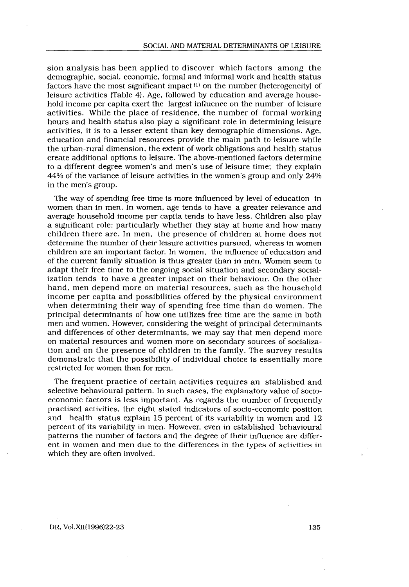sion analysis has been applied to discover which factors among the demographic, social, economic, formal and informal work and health status factors have the most significant impact  $(1)$  on the number (heterogeneity) of leisure activities (Table 4). Age, followed by education and average household income per capita exert the largest influence on the number of leisure activities . While the place of residence, the number of formal working hours and health status also play a significant role in determining leisure activities, it is to a lesser extent than key demographic dimensions . Age, education and financial resources provide the main path to leisure while the urban-rural dimension, the extent of work obligations and health status create additional options to leisure . The above-mentioned factors determine to a different degree women's and men's use of leisure time; they explain 44% of the variance of leisure activities in the women's group and only 24% in the men's group.

The way of spending free time is more influenced by level of education in women than in men. In women, age tends to have a greater relevance and average household income per capita tends to have less. Children also play a significant role: particularly whether they stay at home and how many children there are. In men, the presence of children at home does not determine the number of their leisure activities pursued, whereas in women children are an important factor. In women, the influence of education and of the current family situation is thus greater than in men . Women seem to adapt their free time to the ongoing social situation and secondary socialization tends to have a greater impact on their behaviour . On the other hand, men depend more on material resources, such as the household income per capita and possibilities offered by the physical environment when determining their way of spending free time than do women . The principal determinants of how one utilizes free time are the same in both men and women . However, considering the weight of principal determinants and differences of other determinants, we may say that men depend more on material resources and women more on secondary sources of socialization and on the presence of children in the family . The survey results demonstrate that the possibility of individual choice is essentially more restricted for women than for men.

The frequent practice of certain activities requires an stablished and selective behavioural pattern. In such cases, the explanatory value of socioeconomic factors is less important. As regards the number of frequently practised activities, the eight stated indicators of socio-economic position and health status explain 15 percent of its variability in women and 12 percent of its variability in men . However, even in established behavioural patterns the number of factors and the degree of their influence are different in women and men due to the differences in the types of activities in which they are often involved.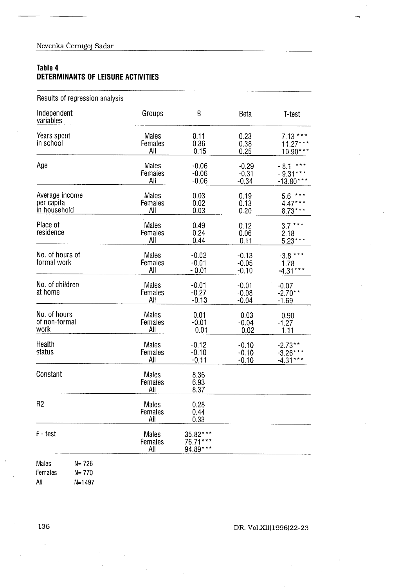## Table 4 DETERMINANTS OF LEISURE ACTIVITIES

| Nevenka Černigoj Sadar                        |                         |                                  |                               |                                        |  |
|-----------------------------------------------|-------------------------|----------------------------------|-------------------------------|----------------------------------------|--|
| Table 4<br>DETERMINANTS OF LEISURE ACTIVITIES |                         |                                  |                               |                                        |  |
| Results of regression analysis                |                         |                                  |                               |                                        |  |
| Independent<br>variables                      | Groups                  | B                                | Beta                          | T-test                                 |  |
| Years spent<br>in school                      | Males<br>Females<br>All | 0.11<br>0.36<br>0.15             | 0.23<br>0.38<br>0.25          | $7.13***$<br>$11.27***$<br>10.90***    |  |
| Age                                           | Males<br>Females<br>All | $-0.06$<br>$-0.06$<br>$-0.06$    | $-0.29$<br>$-0.31$<br>$-0.34$ | $-8.1***$<br>$-9.31***$<br>$-13.80***$ |  |
| Average income<br>per capita<br>in household  | Males<br>Females<br>All | 0.03<br>0.02<br>0.03             | 0.19<br>0.13<br>0.20          | $5.6***$<br>$4.47***$<br>$8.73***$     |  |
| Place of<br>residence                         | Males<br>Females<br>All | 0.49<br>0.24<br>0.44             | 0.12<br>0.06<br>0.11          | $3.7***$<br>2.18<br>$5.23***$          |  |
| No. of hours of<br>formal work                | Males<br>Females<br>All | $-0.02$<br>$-0.01$<br>$-0.01$    | $-0.13$<br>$-0.05$<br>$-0.10$ | $-3.8***$<br>1.78<br>$-4.31***$        |  |
| No. of children<br>at home                    | Males<br>Females<br>All | $-0.01$<br>$-0.27$<br>$-0.13$    | $-0.01$<br>$-0.08$<br>$-0.04$ | $-0.07$<br>$-2.70**$<br>$-1.69$        |  |
| No. of hours<br>of non-formal<br>work         | Males<br>Females<br>All | 0.01<br>$-0.01$<br>0.01          | 0.03<br>$-0.04$<br>0.02       | 0.90<br>$-1.27$<br>1.11                |  |
| Health<br>status                              | Males<br>Females<br>All | $-0.12$<br>$-0.10$<br>$-0.11$    | $-0.10$<br>$-0.10$<br>$-0.10$ | $-2.73**$<br>$-3.26***$<br>$-4.31***$  |  |
| Constant                                      | Males<br>Females<br>All | 8.36<br>6.93<br>8.37             |                               |                                        |  |
| R <sub>2</sub>                                | Males<br>Females<br>All | 0.28<br>0.44<br>0.33             |                               |                                        |  |
| F - test                                      | Males<br>Females<br>All | 35.82***<br>76.71***<br>94.89*** |                               |                                        |  |
| Males<br>$N = 726$                            |                         |                                  |                               |                                        |  |

J.

 $\bar{\nu}$  $\bar{\beta}$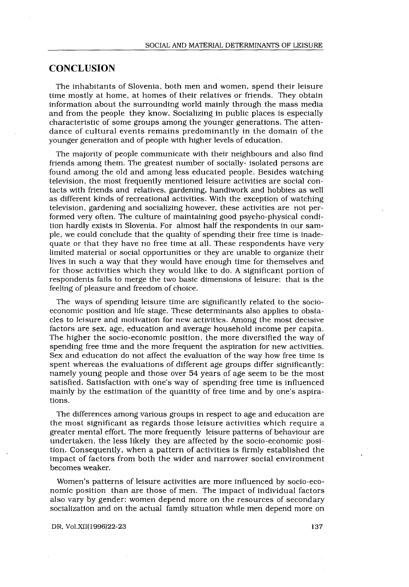# **CONCLUSION**

 

The inhabitants of Slovenia, both men and women, spend their leisure time mostly at home, at homes of their relatives or friends . They obtain information about the surrounding world mainly through the mass media and from the people they know . Socializing in public places is especially characteristic of some groups among the younger generations . The attendance of cultural events remains predominantly in the domain of the younger generation and of people with higher levels of education .

The majority of people communicate with their neighbours and also find friends among them . The greatest number of socially- isolated persons are found among the old and among less educated people . Besides watching television, the most frequently mentioned leisure activities are social contacts with friends and relatives, gardening, handiwork and hobbies as well as different kinds of recreational activities . With the exception of watching television, gardening and socializing however, these activities are not performed very often. The culture of maintaining good psycho-physical condition hardly exists in Slovenia . For almost half the respondents in our sample, we could conclude that the quality of spending their free time is inadequate or that they have no free time at all. These respondents have very limited material or social opportunities or they are unable to organize their lives in such a way that they would have enough time for themselves and for those activities which they would like to do . A significant portion of respondents fails to merge the two basic dimensions of leisure: that is the feeling of pleasure and freedom of choice.

The ways of spending leisure time are significantly related to the socioeconomic position and life stage. These determinants also applies to obstacles to leisure and motivation for new activities . Among the most decisive factors are sex, age, education and average household income per capita . The higher the socio-economic position, the more diversified the way of spending free time and the more frequent the aspiration for new activities . Sex and education do not affect the evaluation of the way how free time is spent whereas the evaluations of different age groups differ significantly : namely young people and those over 54 years of age seem to be the most satisfied. Satisfaction with one's way of spending free time is influenced mainly by the estimation of the quantity of free time and by one's aspirations.

The differences among various groups in respect to age and education are the most significant as regards those leisure activities which require a greater mental effort. The more frequently leisure patterns of behaviour are undertaken, the less likely they are affected by the socio-economic position . Consequently, when a pattern of activities is firmly established the impact of factors from both the wider and narrower social environment becomes weaker.

Women's patterns of leisure activities are more influenced by socio-economic position than are those of men. The impact of individual factors also vary by gender: women depend more on the resources of secondary socialization and on the actual family situation while men depend more on

DR, Vol.XII(1996)22-23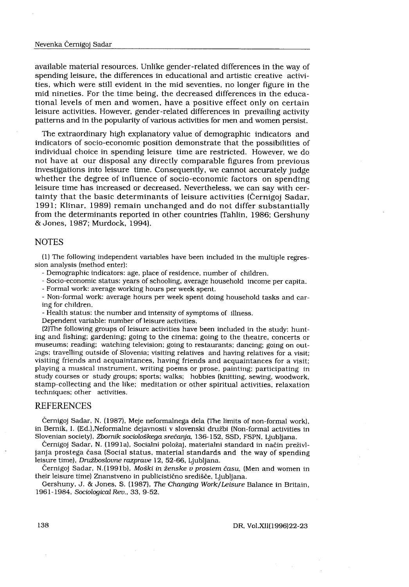#### Nevenka Cernigoj Sadar

 $\label{eq:2} \frac{1}{\sqrt{2}}\int_{0}^{\infty}\frac{1}{\sqrt{2}}\left(\frac{1}{\sqrt{2}}\right)^{2}d\theta.$ 

available material resources . Unlike gender-related differences in the way of spending leisure, the differences in educational and artistic creative activities, which were still evident in the mid seventies, no longer figure in the mid nineties . For the time being, the decreased differences in the educational levels of men and women, have a positive effect only on certain leisure activities . However, gender-related differences in prevailing activity patterns and in the popularity of various activities for men and women persist.

The extraordinary high explanatory value of demographic indicators and indicators of socio-economic position demonstrate that the possibilities of individual choice in spending leisure time are restricted. However, we do not have at our disposal any directly comparable figures from previous investigations into leisure time . Consequently, we cannot accurately judge whether the degree of influence of socio-economic factors on spending leisure time has increased or decreased . Nevertheless, we can say with certainty that the basic determinants of leisure activities (Cernigoj Sadar, 1991; Klinar, 1989) remain unchanged and do not differ substantially from the determinants reported in other countries (Tahlin, 1986; Gershuny & Jones, 1987 ; Murdock, 1994).

#### NOTES

(1) The following independent variables have been included in the multiple regression analysis (method enter):

- Demographic indicators: age, place of residence, number of children.

- Socio-economic status: years of schooling, average household income per capita.

- Formal work: average working hours per week spent.

- Non-formal work: average hours per week spent doing household tasks and caring for children.

- Health status: the number and intensity of symptoms of illness.

Dependent variable: number of leisure activities.

(2)The following groups of leisure activities have been included in the study : hunting and fishing; gardening; going to the cinema; going to the theatre, concerts or museums; reading; watching television; going to restaurants; dancing; going on outings; travelling outside of Slovenia; visiting relatives and having relatives for a visit; visiting friends and acquaintances, having friends and acquaintances for a visit ; playing a musical instrument, writing poems or prose, painting; participating in study courses or study groups; sports; walks; hobbies (knitting, sewing, woodwork, stamp-collecting and the like; meditation or other spiritual activities, relaxation techniques; other activities.

### REFERENCES

Cernigoj Sadar, N . (1987), Meje neformalnega dela (The limits of non-formal work), in Bernik, 1 . (Ed.),Neformalne dejavnosti v slovenski družbi (Non-formal activities in Slovenian society), Zbornik sociološkega srečanja, 136-152, SSD, FSPN, Ljubljana.

Cernigoj Sadar, N . (1991a), Socialni položaj, materialni standard in način preživl janja prostega časa (Social status, material standards and the way of spending leisure time), Družboslovne razprave 12, 52-66, Ljubljana.

Černigoj Sadar, N.(1991b), Moški in ženske v prostem času, (Men and women in their leisure time) Znanstveno in publicistično središče, Ljubljana .

Gershuny, J. & Jones, S. (1987), The Changing Work/Leisure Balance in Britain, 1961-1984, Sociological Rev., 33, 9-52 .